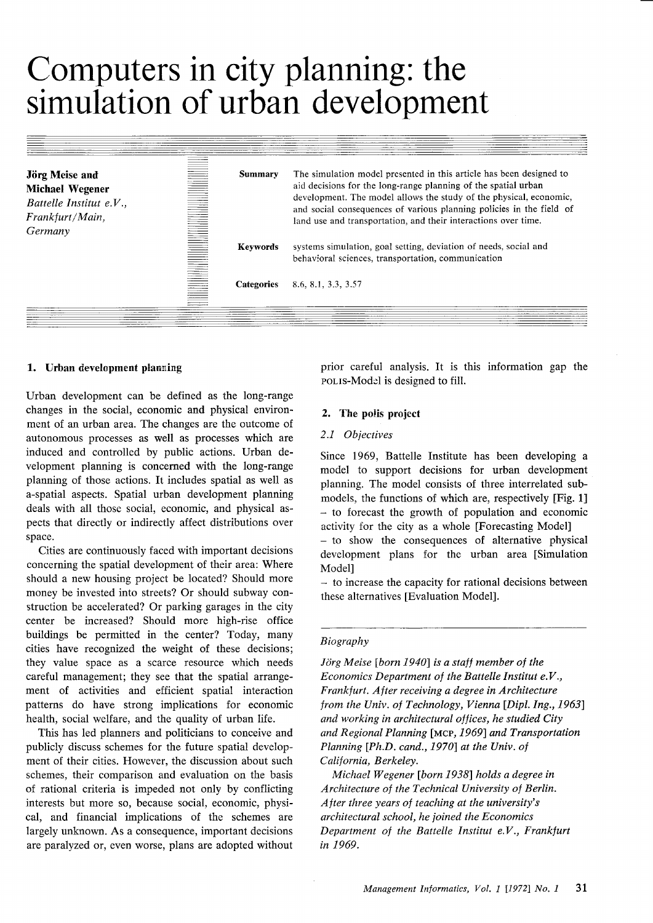# Computers in city planning: the simulation of urban development

| <b>Jörg Meise and</b><br><b>Michael Wegener</b><br>Battelle Institut e.V.,<br>Frankfurt/Main,<br>Germany | <b>Summary</b>    | The simulation model presented in this article has been designed to<br>aid decisions for the long-range planning of the spatial urban<br>development. The model allows the study of the physical, economic,<br>and social consequences of various planning policies in the field of<br>land use and transportation, and their interactions over time. |
|----------------------------------------------------------------------------------------------------------|-------------------|-------------------------------------------------------------------------------------------------------------------------------------------------------------------------------------------------------------------------------------------------------------------------------------------------------------------------------------------------------|
|                                                                                                          | <b>Keywords</b>   | systems simulation, goal setting, deviation of needs, social and<br>behavioral sciences, transportation, communication                                                                                                                                                                                                                                |
|                                                                                                          | <b>Categories</b> | 8.6. 8.1, 3.3, 3.57                                                                                                                                                                                                                                                                                                                                   |

# 1. Urban development planning

Urban development can be defined as the long-range changes in the social, economic and physical environment of an urban area. The changes are the outcome of autonomous processes as well as processes which are induced and controlled by public actions. Urban development planning is concerned with the long-range planning of those actions. It includes spatial as well as a-spatial aspects. Spatial urban development planning deals with all those social, economic, and physical aspects that directly or indirectly affect distributions over space.

Cities are continuously faced with important decisions concerning the spatial development of their area: Where should a new housing project be located? Should more money be invested into streets? Or should subway construction be accelerated? Or parking garages in the city center be increased? Should more high-rise office buildings be permitted in the center? Today, many cities have recognized the weight of these decisions; they value space as a scarce resource which needs careful management; they see that the spatial arrangement of activities and efficient spatial interaction patterns do have strong implications for economic health, social welfare, and the quality of urban life.

This has led planners and politicians to conceive and publicly discuss schemes for the future spatial development of their cities. However, the discussion about such schemes, their comparison and evaluation on the basis of rational criteria is impeded not only by conflicting interests but more so, because social, economic, physical, and financial implications of the schemes are largely unknown. As a consequence, important decisions are paralyzed or, even worse, plans are adopted without prior careful analysis. It is this information gap the polis-Model is designed to fill.

# 2. The polis project

# 2.1 Objectives

Since 1969, Battelle Institute has been developing a model to support decisions for urban development planning. The model consists of three interrelated submodels, the functions of which are, respectively [Fig. 1] - to forecast the growth of population and economic activity for the city as a whole [Forecasting Model] - to show the consequences of alternative physical development plans for the urban area [Simulation Modell

- to increase the capacity for rational decisions between these alternatives [Evaluation Model].

## Biography

Jörg Meise [born 1940] is a staff member of the Economics Department of the Battelle Institut  $e.V.,$ Frankfurt. After receiving a degree in Architecture from the Univ. of Technology, Vienna [Dipl. Ing., 1963] and working in architectural offices, he studied City and Regional Planning [MCP, 1969] and Transportation Planning [Ph.D. cand., 1970] at the Univ. of California, Berkeley.

Michael Wegener [born 1938] holds a degree in Architecture of the Technical University of Berlin. After three years of teaching at the university's architectural school, he joined the Economics Department of the Battelle Institut e.V., Frankfurt in 1969.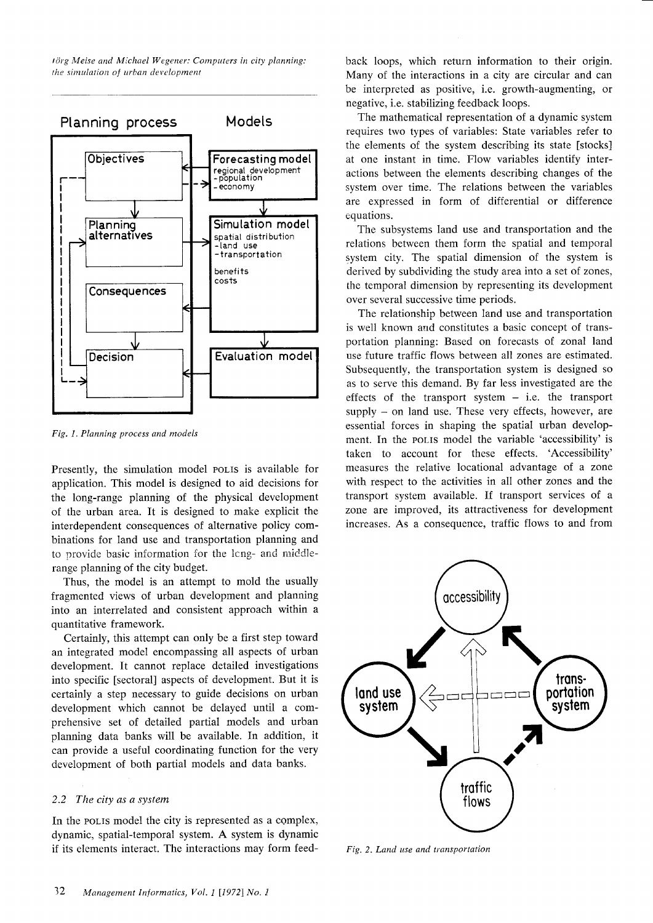lörg Meise and Michael Wegener: Computers in city planning: the simulation of urban development



Fig. 1. Planning process and models

Presently, the simulation model polis is available for application. This model is designed to aid decisions for the long-range planning of the physical development of the urban area. It is designed to make explicit the interdependent consequences of alternative policy combinations for land use and transportation planning and to provide basic information for the long- and middlerange planning of the city budget.

Thus, the model is an attempt to mold the usually fragmented views of urban development and planning into an interrelated and consistent approach within <sup>a</sup> quantitative framework.

Certainly, this attempt can only be a first step toward an integrated model encompassing all aspects of urban development. It cannot replace detailed investigations into specific [sectoral] aspects of development. But it is certainly a step necessary to guide decisions on urban development which cannot be delayed until a comprehensive set of detailed partial models and urban planning data banks will be available. In addition, it can provide a useful coordinating function for the very development of both partial models and data banks.

## 2.2 The city as a system

In the polis model the city is represented as a complex, dynamic, spatial-temporal system. A system is dynamic if its elements interact. The interactions may form feedback loops, which return information to their origin. Many of the interactions in a city are circular and can be interpreted as positive, i.e. growth-augmenting, or negative, i.e. stabilizing feedback loops.

The mathematical representation of a dynamic system requires two types of variables: State variables refer to the elements of the system describing its state [stocks] at one instant in time. Flow variables identify interactions between the elements describing changes of the system over time. The relations between the variables are expressed in form of differential or difference equations.

The subsystems land use and transportation and the relations between them forrn the spatial and temporal system city. The spatial dimension of the system is derived by subdividing the study area into a set of zones, the temporal dimension by representing its development over several successive time periods.

The relationship between land use and transportation is well known and constitutes a basic concept of transportation planning: Based on forecasts of zonal land use future traffic flows between all zones are estimated. Subsequently, the transportation system is designed so as to serve this demand. By far less investigated are the effects of the transport system  $-$  i.e. the transport  $supply - on$  land use. These very effects, however, are essential forces in shaping the spatial urban development. In the polis model the variable 'accessibility' is taken to account for these effects. 'Accessibility' measures the relative locational advantage of a zone with respect to the activities in all other zones and the transport system available. If transport services of <sup>a</sup> zone are improved, its attractiveness for development increases. As a consequence, traffic flows to and from



Fig. 2. Land use and transportation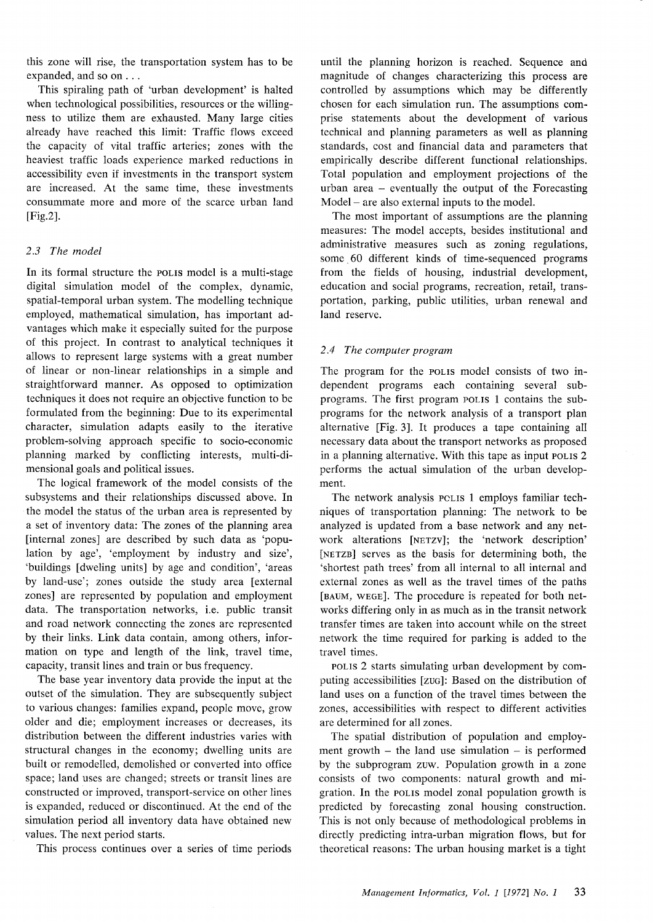this zone will rise, the transportation system has to be expanded, and so on . . .

This spiraling path of 'urban development' is halted when technological possibilities, resources or the willingness to utilize them are exhausted. Many large cities already have reached this limit: Traffic flows exceed the capacity of vital traffic arteries; zones with the heaviest traffic loads experience marked reductions in accessibility even if investments in the transport system are increased. At the same time, these investments consummate more and more of the scarce urban land lFie.2l.

## 2.3 The model

In its formal structure the pollis model is a multi-stage digital simulation model of the complex, dynamic, spatial-temporal urban system. The modelling technique employed, mathematical simulation, has important advantages which make it especially suited for the purpose of this project. In contrast to analytical techniques it allows to represent large systems with a great number of linear or non-linear relationships in a simple and straightforward manner. As opposed to optimization techniques it does not require an objective function to be formulated from the beginning: Due to its experimental character, simulation adapts easily to the iterative problem-solving approach specific to socio-economic planning marked by conflicting interests, multi-dimensional goals and political issues.

The logical framework of the model consists of the subsystems and their relationships discussed above. In the model the status of the urban area is represented by a set of inventory data: The zones of the planning area [internal zones] are described by such data as 'population by age', 'employment by industry and size', 'buildings [dweling units] by age and condition', 'areas by land-use'; zones outside the study area [external zones] are represented by population and employment data. The transportation networks, i.e. public transit and road network connecting the zones are represented by their links. Link data contain, among others, information on type and length of the link, travel time, capacity, transit lines and train or bus frequency.

The base year inventory data provide the input at the outset of the simulation. They are subsequently subject to various changes: families expand, people move, grow older and die; employment increases or decreases, its distribution between the different industries varies with structural changes in the economy; dwelling units are built or remodelled, demolished or converted into office space; land uses are changed; streets or transit lines are constructed or improved, transport-service on other lines is expanded, reduced or discontinued. At the end of the simulation period all inventory data have obtained new values. The next period starts.

This process continues over a series of time periods

until the planning horizon is reached. Sequence and magnitude of changes characterizing this process are controlled by assumptions which may be differently chosen for each simulation run. The assumptions comprise statements about the development of various technical and planning parameters as well as planning standards, cost and financial data and parameters that empirically describe different functional relationships. Total population and employment projections of the urban area - eventually the output of the Forecasting Model – are also external inputs to the model.

The most important of assumptions are the planning measures: The model accepts, besides institutional and administrative measures such as zoning regulations, some 60 different kinds of time-sequenced programs from the fields of housing, industrial development, education and social programs, recreation, retail, transportation, parking, public utilities, urban renewal and land reserve.

## 2.4 The computer program

The program for the polis model consists of two independent programs each containing several subprograms. The first program polls 1 contains the subprograms for the network analysis of a transport plan alternative [Fig. 3]. It produces a tape containing all necessary data about the transport networks as proposed in a planning alternative. With this tape as input polis 2 performs the actual simulation of the urban development.

The network analysis pclss 1 employs familiar techniques of transportation planning: The network to be analyzed is updated from a base network and any network alterations [NETZV]; the 'network description' [NETZB] serves as the basis for determining both, the 'shortest path trees' from all internal to all internal and external zones as well as the travel times of the paths [BAUM, WEGE]. The procedure is repeated for both networks differing only in as much as in the transit network transfer times are taken into account while on the street network the time required for parking is added to the travel times.

porls 2 starts simulating urban development by computing accessibilities [zuc]: Based on the distribution of land uses on a function of the travel times between the zones, accessibilities with respect to different activities are determined for all zones.

The spatial distribution of population and employment growth  $-$  the land use simulation  $-$  is performed by the subprogram zuw. Population growth in a zone consists of two components: natural growth and migration. In the poLIS model zonal population growth is predicted by forecasting zonal housing construction. This is not only because of methodological problems in directly predicting intra-urban migration flows, but for theoretical reasons: The urban housing market is a tight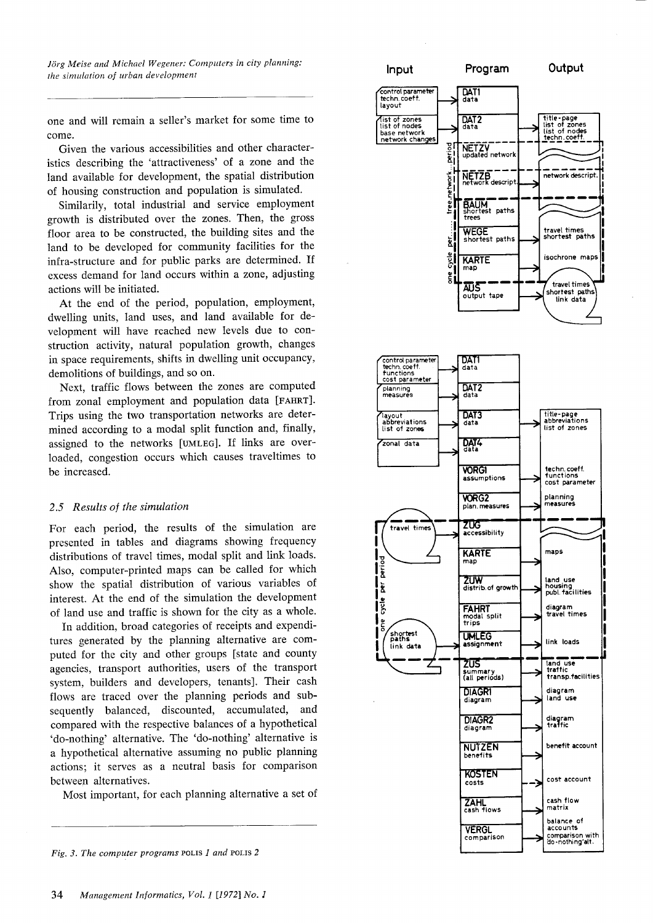Jörg Meise and Michael Wegener: Computers in city planning: the simulation of urban development

one and will remain a seller's market for some time to come.

Given the various accessibilities and other characteristics describing the 'attractiveness' of a zone and the Iand available for development, the spatial distribution of housing construction and population is simulated.

Similarily, total industrial and service employment growth is distributed over the zones. Then, the gross floor area to be constructed, the building sites and the land to be developed for community facilities for the infra-structure and for public parks are determined. If excess demand for land occurs within a zone, adjusting actions will be initiated.

At the end of the period, population, employment, dwelling units, land uses, and land available for development will have reached new levels due to construction activity, natural population growth, changes in space requirements, shifts in dwelling unit occupancy, demolitions of buildings, and so on.

Next, traffic flows between the zones are computed from zonal employment and population data [FAHRT]. Trips using the two transportation networks are determined according to a modal split function and, finally, assigned to the networks [UMLEG]. If links are overloaded, congestion occurs which causes traveltimes to be increased.

## 2.5 Results of the simulation

For each period, the results of the simulation are presented in tables and diagrams showing frequency distributions of travel times, modal split and link loads. Also, computer-printed maps can be called for which show the spatial distribution of various variables of interest. At the end of the simulation the development of land use and traffic is shown for the city as a whole.

In addition, broad categories of receipts and expenditures generated by the planning alternative are computed for the city and other groups [state and county agencies, transport authorities, users of the transport system, builders and developers, tenants]. Their cash flows are traced over the planning periods and subsequently balanced, discounted, accumulated, and compared with the respective balances of a hypothetical 'do-nothing' alternative. The'do-nothing' alternative is a hypothetical alternative assuming no public planning actions; it serves as a neutral basis for comparison between alternatives.

Most important, for each planning alternative a set of



Fig. 3. The computer programs POLIS  $1$  and POLIS  $2$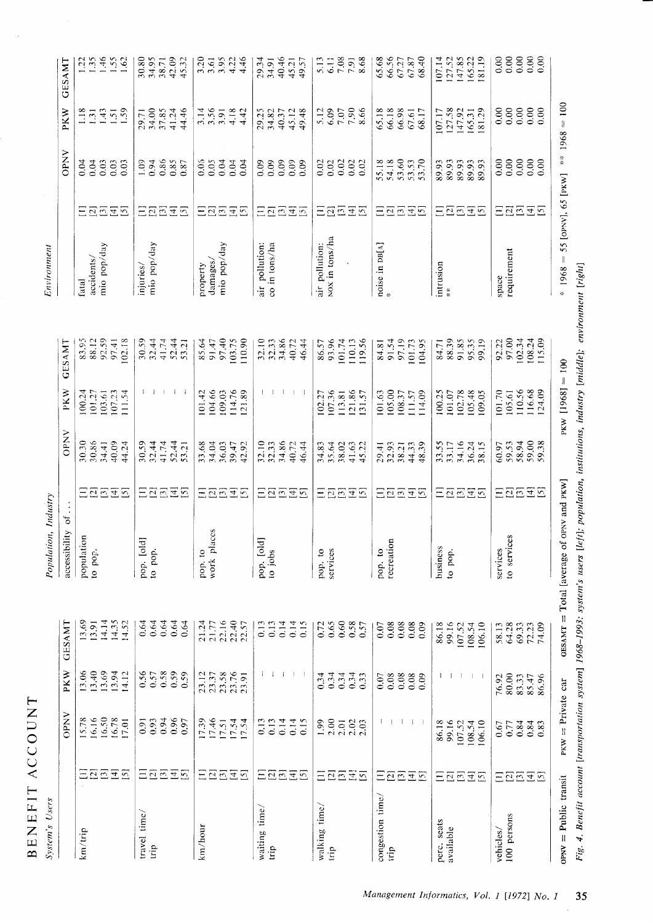| BENEFIT ACCOUNT          |                                                                  |                                               |                                                                     |                                                                         |                            |                                          |                                           |                                                |                                              |                                     |                                                    |                                             |                                               |                                               |
|--------------------------|------------------------------------------------------------------|-----------------------------------------------|---------------------------------------------------------------------|-------------------------------------------------------------------------|----------------------------|------------------------------------------|-------------------------------------------|------------------------------------------------|----------------------------------------------|-------------------------------------|----------------------------------------------------|---------------------------------------------|-----------------------------------------------|-----------------------------------------------|
| System's Users           |                                                                  |                                               |                                                                     |                                                                         | Population, Industry       |                                          |                                           |                                                |                                              | Environment                         |                                                    |                                             |                                               |                                               |
|                          |                                                                  | <b>OPNV</b>                                   | <b>PKW</b>                                                          | <b>GESAMT</b>                                                           | accessibility of           |                                          | <b>OPNV</b>                               | PKW                                            | GESAMI                                       |                                     |                                                    | <b>OPNV</b>                                 | <b>PKW</b>                                    | <b>GESAMT</b>                                 |
| km/trip                  | $\overline{25}$<br>$\overline{45}$<br>Ξ                          | 16.50<br>15.78<br>16.16<br>16.78<br>17.01     | 13.06<br>$13.40$<br>$13.69$<br>$13.94$<br>14.12                     | 13.69<br>14.14<br>14.35<br>14.52<br>13.91                               | population<br>to pop.      | 三百百五百                                    | 30.86<br>30.30<br>40.09<br>34.41<br>44.24 | 101.27<br>107.23<br>100.24<br>103.61<br>111.54 | 88.12<br>92.59<br>102.18<br>83.95<br>97.41   | mio pop/day<br>accidents/<br>fatal  | 28686                                              | 0.03<br>0.04<br>$0.03\,$<br>0.03<br>0.04    | 1.43<br>1.18<br>1.51<br>$\overline{3}$        | 1.46<br>1.22<br>1.62                          |
| travel time/<br>trip     | $\Xi$<br>$\Xi \Xi$<br>$\overline{45}$                            | 0.94<br>0.96<br>0.93<br>0.97<br>0.91          | 0.58<br>0.59<br>$0.56$<br>$0.57$<br>0.59                            | 0.64<br>0.64<br>0.64<br>0.64<br>0.64                                    | pop. [old]<br>to pop.      | 28638                                    | 52.44<br>53.21<br>30.59<br>32.44<br>41.74 | $1 - 1$<br>$\Box$                              | 32.44<br>41.74<br>52.44<br>30.59<br>53.21    | mio pop/day<br>injuries/            | 28838                                              | 0.86<br>0.94<br>$\frac{0.85}{0.87}$<br>1.09 | 37.85<br>41.24<br>44.46<br>34.00<br>29.71     | 34.95<br>42.09<br>45.32<br>30.80<br>38.71     |
| km/hour                  | $\overline{3}$<br>$\Xi\Xi$<br>$[4]$<br>$\overline{5}$            | 17.46<br>17.39<br>$17.54$<br>$17.54$<br>17.51 | 23.58<br>23.76<br>23.12<br>23.37                                    | 22.16<br>22.40<br>21.24<br>22.57<br>21.77                               | aces<br>work pl<br>pop. to | $E\overline{\Omega}E$<br>$\overline{45}$ | 33.68<br>34.04<br>36.03<br>39.47<br>42.92 | 104.66<br>109.03<br>114.76<br>121.89<br>101.42 | 97.40<br>103.75<br>110.90<br>85.64<br>91.47  | mio pop/day<br>damages/<br>property | 202<br>$\Xi$ $\Xi$                                 | 0.05<br>0.04<br>0.04<br>0.04<br>0.05        | $3.56$<br>$3.59$<br>$4.18$<br>$4.42$          | $3.95$<br>$4.22$<br>3.20<br>3.61<br>4.46      |
| waiting time/<br>trip    | $\overline{E}$<br>Ξ<br>$\overline{2}$<br>$\Xi$<br>$\overline{5}$ | 0.13<br>0.14<br>0.14<br>0.13<br>0.15          | $\mathbf{I}$<br>$\mathbf{I}$<br>$\perp$<br>- 1                      | 0.13<br>0.14<br>0.14<br>0.15<br>0.13                                    | pop. [old]<br>to jobs      | $\overline{a}\overline{a}$<br>Ξ          | 34.86<br>32.10<br>32.33<br>40.72<br>46.44 | $\Box$<br>$\perp$<br>-1                        | 34.86<br>32.10<br>32.33<br>40.72<br>46.44    | air pollution:<br>co in tons/ha     | $\Xi \Xi$<br>$\Xi \Xi$<br>$\overline{5}$           | 0.09<br>0.09<br>0.09<br>0.09<br>0.09        | 34.82<br>45.12<br>29.25<br>40.37<br>49.48     | 40.46<br>29.34<br>34.91<br>49.57<br>45.21     |
| walking time/<br>trip    | $\overline{25}$<br>$E\overline{D}$<br>Ξ                          | 2.00<br>2.01<br>$2.02$<br>$2.03$<br>1,99      | $0.34$<br>0.34<br>0.34<br>0.33<br>0.34                              | $\frac{0.65}{0.60}$<br>$0.58$<br>0.57<br>0.72                           | services<br>pop. to        | 22232                                    | 34.83<br>35.64<br>38.02<br>41.63<br>45.22 | 121.86<br>107.36<br>113.81<br>131.57<br>102.27 | 93.96<br>101.74<br>110.13<br>119.56<br>86.57 | NOX in tons/ha<br>air pollution:    | $\overline{[3]}$<br>$\Xi\Xi$<br>$E_{\overline{2}}$ | 0.02<br>0.02<br>0.02<br>0.02<br>0.02        | $7.90$<br>8.66<br>5.12<br>6.09<br>7.07        | $7.98$<br>$7.91$<br>8.68<br>6.11<br>5.13      |
| congestion time/<br>trip | $\boxed{2}$<br>$\overline{45}$<br>$\Xi$<br>Ξ                     |                                               | 0.08<br>0.08<br>$\begin{array}{c} 0.08 \\ 0.09 \end{array}$<br>0.07 | $0.08\,$<br>0.08<br>$\begin{array}{c} 0.08 \\ 0.09 \end{array}$<br>0.07 | recreation<br>pop. to      | 日本西西西                                    | 29.41<br>32.93<br>44.33<br>38.21<br>48.39 | 105.00<br>108.37<br>101.63<br>111.57<br>114.09 | 84.81<br>91.54<br>97.19<br>101.73<br>104.95  | noise in $\mathtt{DB}[\lambda]$ #   | 三包包包包                                              | 54.18<br>53.60<br>53.53<br>53.70<br>55.18   | 66.18<br>66.98<br>65.18<br>67.61<br>68.17     | 66.56<br>68.40<br>65.68<br>67.27<br>67.87     |
| perc. seats<br>available | $\overline{25}$<br>$\Xi$ $\Xi$<br>Ξ                              | 86.18<br>99.16<br>107.52<br>108.54<br>106.10  | -1                                                                  | 86.18<br>99.16<br>107.52<br>108.54<br>106.10                            | business<br>to pop.        | 日本包囲区                                    | 33.55<br>33.17<br>34.16<br>36.24<br>38.15 | 100.25<br>102.78<br>105.48<br>109.05<br>101.07 | 88.39<br>91.85<br>95.35<br>99.19<br>84.71    | intrusion<br>×                      | 22238                                              | 89.93<br>89.93<br>89.93<br>89.93<br>89.93   | 127.58<br>147.92<br>165.31<br>81.29<br>107.17 | 147.85<br>127.52<br>165.22<br>81.19<br>107.14 |
| 100 persons<br>vehicles/ | $\overline{255}$<br>Ξ                                            | 0.84<br>$0.84$<br>0.83<br>0.77<br>0.67        | 80.00<br>83.33<br>85.47<br>86.96<br>76.92                           | 64.28<br>69.33<br>72.23<br>74.09<br>58.13                               | to services<br>services    | 三四四三四                                    | 59.38<br>58.94<br>59.53<br>60.97          | 110.56<br>116.68<br>101.70<br>105.61           | 102.34<br>108.24<br>97.00<br>92.22           | requirement<br>space                | 三四四五回                                              | 0.00<br>0.00<br>0.00<br>0.00<br>0.00        | 0.00<br>0.00000<br>0.00<br>0.00               | 0.00<br>0.00<br>0.000000<br>0.00              |

 $968 =$  $\mathcal{H}^{\text{in}}$ § L t  $\overline{[8]}$ avera<br>.  $\mathbf{H}$  ... te ca:<br>.  $\frac{1}{10}$ Publi<br>Bene  $\sum_{i,g.}$   $\frac{4}{\sqrt{3}}$ 

tl 6

-v.-

IZpi  $\check{\mathbf{c}}$ z

=

!\  $\mathbf{x}$ 

 $\square$ 

7\_

ይ.<br>...

 $\overline{\circ}$ 

 $\Xi$  $\tilde{A}$ ច $\overline{\phantom{a}}$ 

تم

@O d.

6\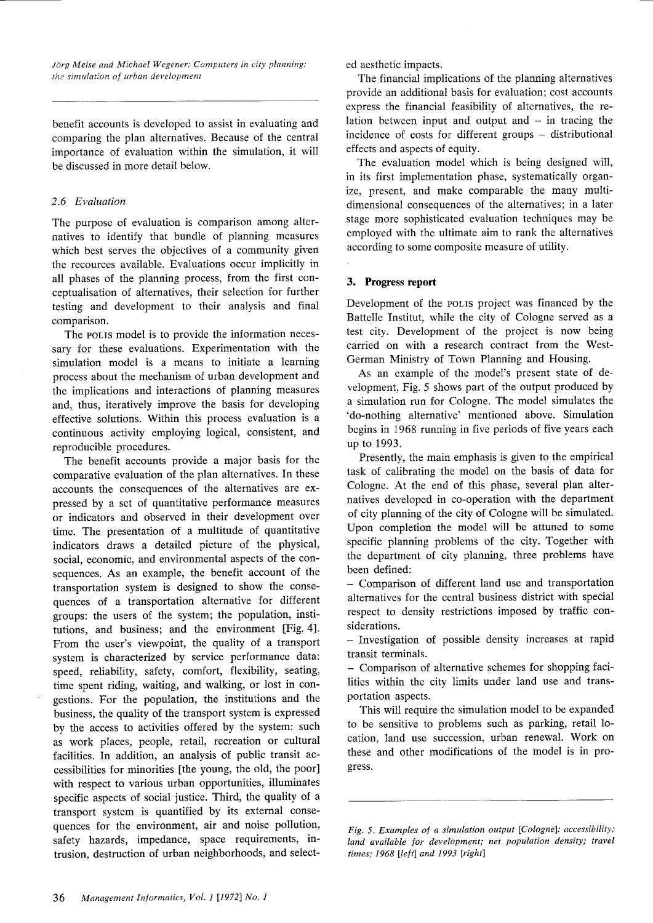Jörg Meise and Michael Wegener: Computers in city planning: the simulation of urban development

benefit accounts is developed to assist in evaluating and comparing the plan alternatives. Because of the central importance of evaluation within the simulation, it will be discussed in more detail below.

# 2.6 Evaluation

The purpose of evaluation is comparison among alternatives to identify that bundle of planning measures which best serves the objectives of a community given the recources available. Evaluations occur implicitly in all phases of the planning process, from the first conceptualisation of alternatives, their selection for further testing and development to their analysis and final comparison.

The pollis model is to provide the information necessary for these evaluations. Experimentation with the simulation model is a means to initiate a learning process about the mechanism of urban development and the implications and interactions of planning measures and, thus, iteratively improve the basis for developing effective solutions. Within this process evaluation is <sup>a</sup> continuous activity employing logical, consistent, and reproducible procedures.

The benefit accounts provide a major basis for the comparative evaluation of the plan alternatives. In these accounts the consequences of the alternatives are expressed by a set of quantitative performance measures or indicators and observed in their development over time. The presentation of a multitude of quantitative indicators draws a detailed picture of the physical, social, economic, and environmental aspects of the consequences. As an example, the benefit account of the transportation system is designed to show the consequences of a transportation alternative for different groups: the users of the system; the population, institutions, and business; and the environment [Fig. 4]. From the user's viewpoint, the quality of a transport system is characterized by service performance data: speed, reliability, safety, comfort, flexibility, seating, time spent riding, waiting, and walking, or lost in congestions. For the population, the institutions and the business, the quality of the transport system is expressed by the access to activities offered by the system: such as work places, people, retail, recreation or cultural facilities. In addition, an analysis of public transit accessibilities for minorities [the young, the old, the poor] with respect to various urban opportunities, illuminates specific aspects of social justice. Third, the quality of <sup>a</sup> transport system is quantified by its external consequences for the environment, air and noise pollution, safety hazards, impedance, space requirements, intrusion, destruction of urban neighborhoods, and selected aesthetic impacts.

The financial implications of the planning alternatives provide an additional basis for evaluation; cost accounts express the financial feasibility of alternatives, the relation between input and output and  $-$  in tracing the incidence of costs for different groups – distributional effects and aspects of equity.

The evaluation model which is being designed will, in its first implementation phase, systematically organize, present, and make comparable the many multidimensional consequences of the alternatives; in a later stage more sophisticated evaluation techniques may be employed with the ultimate aim to rank the alternatives according to some composite measure of utility.

# 3. Progress report

Development of the rolls project was financed by the Battelle Institut, while the city of Cologne served as <sup>a</sup> test city. Development of the project is now being carried on with a research contract from the West-German Ministry of Town Planning and Housing.

As an example of the model's present state of development, Fig.5 shows part of the output produced by a simulation run for Cologne. The model simulates the 'do-nothing alternative' mentioned above. Simulation begins in 1968 running in five periods of five years each up to 1993.

Presently, the main emphasis is given to the empirical task of calibrating the model on the basis of data for Cologne. At the end of this phase, several plan alternatives developed in co-operation with the department of city planning of the city of Cologne will be simulated. Upon completion the model will be attuned to some specific planning problems of the city. Together with the department of city planning, three problems have been defined:

- Comparison of different land use and transportation alternatives for the central business district with special respect to density restrictions imposed by traffic considerations.

- Investigation of possible density increases at rapid transit terminals.

- Comparison of alternative schemes for shopping facilities within the city limits under land use and transportation aspects.

This will require the simulation model to be expanded to be sensitive to problems such as parking, retail location, land use succession, urban renewal. Work on these and other modifications of the model is in progress.

Fig. 5. Examples of a simulation output [Cologne]: accessibility; land available for development; net population density; travel times; 1968 [left] and 1993 [right]